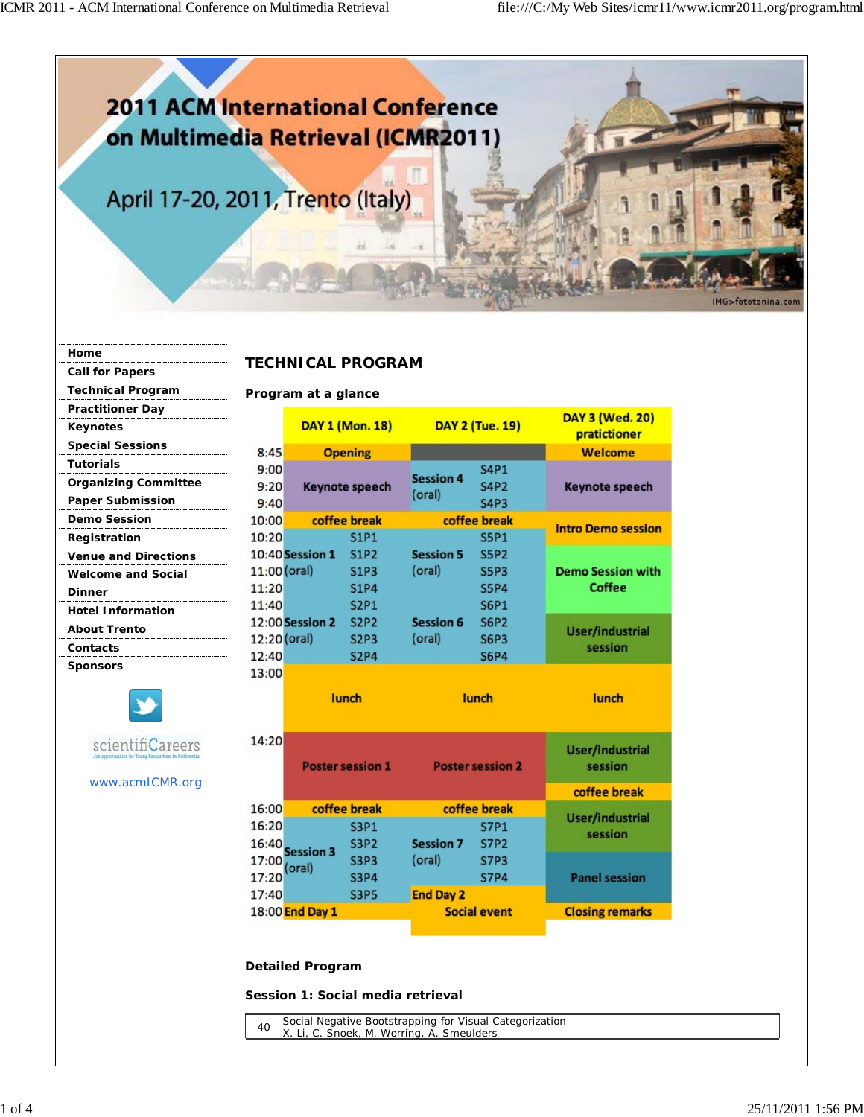

| Home                        |
|-----------------------------|
| <b>Call for Papers</b>      |
| <b>Technical Program</b>    |
| <b>Practitioner Day</b>     |
| Keynotes                    |
| <b>Special Sessions</b>     |
| <b>Tutorials</b>            |
| <b>Organizing Committee</b> |
| <b>Paper Submission</b>     |
| <b>Demo Session</b>         |
| Registration                |
| <b>Venue and Directions</b> |
| <b>Welcome and Social</b>   |
| <b>Dinner</b>               |
| <b>Hotel Information</b>    |
| <b>About Trento</b>         |
| Contacts                    |
| <b>Sponsors</b>             |
|                             |

www.acmICMR.org

scientifiCareers

## **TECHNICAL PROGRAM**

**Program at a glance**

|                        | DAY 1 (Mon. 18)       |                |                  | <b>DAY 2 (Tue. 19)</b>     | DAY 3 (Wed. 20)<br>pratictioner |
|------------------------|-----------------------|----------------|------------------|----------------------------|---------------------------------|
| 8:45                   |                       | <b>Opening</b> |                  |                            | Welcome                         |
| 9:00<br>9:20           | <b>Keynote speech</b> |                | <b>Session 4</b> | <b>S4P1</b><br><b>S4P2</b> | <b>Keynote speech</b>           |
| 9:40                   |                       |                | (oral)           | <b>S4P3</b>                |                                 |
| 10:00                  |                       | coffee break   |                  | coffee break               | <b>Intro Demo session</b>       |
| 10:20                  |                       | <b>S1P1</b>    |                  | <b>S5P1</b>                |                                 |
| 10:40 <b>Session 1</b> |                       | <b>S1P2</b>    | <b>Session 5</b> | <b>S5P2</b>                |                                 |
| 11:00 (oral)           |                       | <b>S1P3</b>    | (oral)           | <b>S5P3</b>                | <b>Demo Session with</b>        |
| 11:20                  |                       | <b>S1P4</b>    |                  | <b>S5P4</b>                | Coffee                          |
| 11:40                  |                       | <b>S2P1</b>    |                  | <b>S6P1</b>                |                                 |
| 12:00 <b>Session 2</b> |                       | <b>S2P2</b>    | <b>Session 6</b> | <b>S6P2</b>                | User/industrial                 |
| 12:20 (oral)           |                       | <b>S2P3</b>    | (oral)           | <b>S6P3</b>                | session                         |
| 12:40                  |                       | <b>S2P4</b>    |                  | <b>S6P4</b>                |                                 |
| 13:00                  |                       |                |                  |                            |                                 |
|                        | lunch                 |                |                  | lunch                      | lunch                           |

| 14:20 |                              | <b>Poster session 1</b> |                  | <b>Poster session 2</b> | User/industrial<br>session |  |
|-------|------------------------------|-------------------------|------------------|-------------------------|----------------------------|--|
|       |                              |                         |                  |                         | coffee break               |  |
| 16:00 | coffee break                 |                         | coffee break     |                         | User/industrial            |  |
| 16:20 |                              | <b>S3P1</b>             |                  | <b>S7P1</b>             | session                    |  |
| 16:40 | <b>Session 3</b>             | <b>S3P2</b>             | <b>Session 7</b> | <b>S7P2</b>             |                            |  |
|       | $17:00$ (oral)               | <b>S3P3</b>             | (oral)           | <b>S7P3</b>             |                            |  |
| 17:20 |                              | <b>S3P4</b>             |                  | <b>S7P4</b>             | <b>Panel session</b>       |  |
| 17:40 |                              | <b>S3P5</b>             | <b>End Day 2</b> |                         |                            |  |
|       | 18:00 <mark>End Day 1</mark> |                         |                  | <b>Social event</b>     | <b>Closing remarks</b>     |  |
|       |                              |                         |                  |                         |                            |  |

## **Detailed Program**

**Session 1: Social media retrieval**

<sup>40</sup> Social Negative Bootstrapping for Visual Categorization X. Li, C. Snoek, M. Worring, A. Smeulders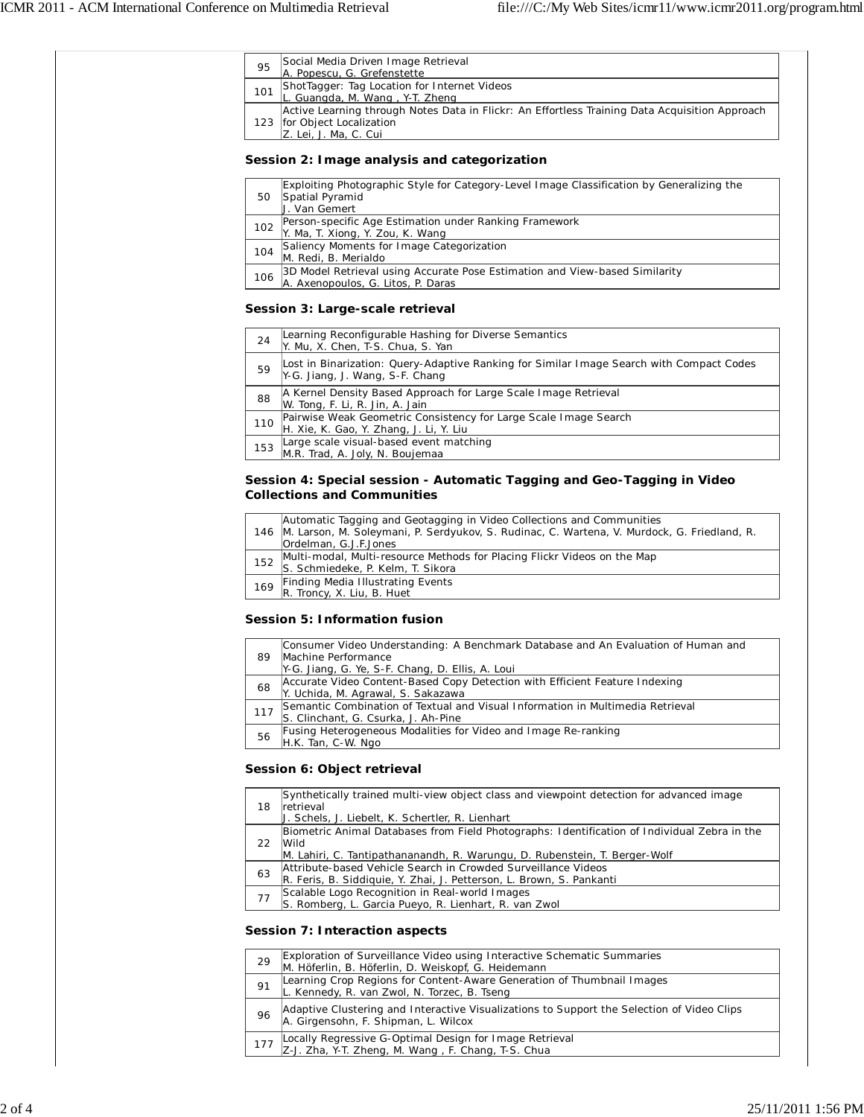| ShotTagger: Tag Location for Internet Videos<br>101<br>L. Guangda, M. Wang, Y-T. Zheng<br>123   for Object Localization<br>Z. Lei, J. Ma, C. Cui<br>Session 2: Image analysis and categorization<br>Exploiting Photographic Style for Category-Level Image Classification by Generalizing the<br>50<br>Spatial Pyramid<br>J. Van Gemert<br>Person-specific Age Estimation under Ranking Framework<br>102<br>Y. Ma, T. Xiong, Y. Zou, K. Wang<br>Saliency Moments for Image Categorization<br>104<br>M. Redi, B. Merialdo<br>3D Model Retrieval using Accurate Pose Estimation and View-based Similarity<br>106<br>A. Axenopoulos, G. Litos, P. Daras<br>Session 3: Large-scale retrieval<br>Learning Reconfigurable Hashing for Diverse Semantics<br>24<br>Y. Mu, X. Chen, T-S. Chua, S. Yan<br>Lost in Binarization: Query-Adaptive Ranking for Similar Image Search with Compact Codes<br>59<br>Y-G. Jiang, J. Wang, S-F. Chang<br>A Kernel Density Based Approach for Large Scale Image Retrieval<br>88<br>W. Tong, F. Li, R. Jin, A. Jain<br>Pairwise Weak Geometric Consistency for Large Scale Image Search<br>110<br>H. Xie, K. Gao, Y. Zhang, J. Li, Y. Liu<br>Large scale visual-based event matching<br>153<br>M.R. Trad, A. Joly, N. Boujemaa<br>Session 4: Special session - Automatic Tagging and Geo-Tagging in Video<br><b>Collections and Communities</b><br>Automatic Tagging and Geotagging in Video Collections and Communities<br>146 M. Larson, M. Soleymani, P. Serdyukov, S. Rudinac, C. Wartena, V. Murdock, G. Friedland, R.<br>Ordelman, G.J.F.Jones<br>Multi-modal, Multi-resource Methods for Placing Flickr Videos on the Map<br>152<br>S. Schmiedeke, P. Kelm, T. Sikora<br>Finding Media Illustrating Events<br>169<br>R. Troncy, X. Liu, B. Huet<br>Session 5: Information fusion<br>Consumer Video Understanding: A Benchmark Database and An Evaluation of Human and<br>89<br>Machine Performance<br>Y-G. Jiang, G. Ye, S-F. Chang, D. Ellis, A. Loui<br>Accurate Video Content-Based Copy Detection with Efficient Feature Indexing<br>68<br>Y. Uchida, M. Agrawal, S. Sakazawa<br>Semantic Combination of Textual and Visual Information in Multimedia Retrieval<br>117<br>S. Clinchant, G. Csurka, J. Ah-Pine<br>Fusing Heterogeneous Modalities for Video and Image Re-ranking<br>56<br>H.K. Tan, C-W. Ngo<br>Session 6: Object retrieval<br>Synthetically trained multi-view object class and viewpoint detection for advanced image<br>18<br>retrieval<br>J. Schels, J. Liebelt, K. Schertler, R. Lienhart<br>22<br>Wild<br>M. Lahiri, C. Tantipathananandh, R. Warungu, D. Rubenstein, T. Berger-Wolf<br>Attribute-based Vehicle Search in Crowded Surveillance Videos<br>63<br>R. Feris, B. Siddiquie, Y. Zhai, J. Petterson, L. Brown, S. Pankanti<br>Scalable Logo Recognition in Real-world Images<br>77<br>S. Romberg, L. Garcia Pueyo, R. Lienhart, R. van Zwol | 95 | Social Media Driven Image Retrieval<br>A. Popescu, G. Grefenstette                             |
|----------------------------------------------------------------------------------------------------------------------------------------------------------------------------------------------------------------------------------------------------------------------------------------------------------------------------------------------------------------------------------------------------------------------------------------------------------------------------------------------------------------------------------------------------------------------------------------------------------------------------------------------------------------------------------------------------------------------------------------------------------------------------------------------------------------------------------------------------------------------------------------------------------------------------------------------------------------------------------------------------------------------------------------------------------------------------------------------------------------------------------------------------------------------------------------------------------------------------------------------------------------------------------------------------------------------------------------------------------------------------------------------------------------------------------------------------------------------------------------------------------------------------------------------------------------------------------------------------------------------------------------------------------------------------------------------------------------------------------------------------------------------------------------------------------------------------------------------------------------------------------------------------------------------------------------------------------------------------------------------------------------------------------------------------------------------------------------------------------------------------------------------------------------------------------------------------------------------------------------------------------------------------------------------------------------------------------------------------------------------------------------------------------------------------------------------------------------------------------------------------------------------------------------------------------------------------------------------------------------------------------------------------------------------------------------------------------------------------------------------------------------------------------------------------------------------------------------------------------------------------------------------------------------|----|------------------------------------------------------------------------------------------------|
|                                                                                                                                                                                                                                                                                                                                                                                                                                                                                                                                                                                                                                                                                                                                                                                                                                                                                                                                                                                                                                                                                                                                                                                                                                                                                                                                                                                                                                                                                                                                                                                                                                                                                                                                                                                                                                                                                                                                                                                                                                                                                                                                                                                                                                                                                                                                                                                                                                                                                                                                                                                                                                                                                                                                                                                                                                                                                                                |    |                                                                                                |
|                                                                                                                                                                                                                                                                                                                                                                                                                                                                                                                                                                                                                                                                                                                                                                                                                                                                                                                                                                                                                                                                                                                                                                                                                                                                                                                                                                                                                                                                                                                                                                                                                                                                                                                                                                                                                                                                                                                                                                                                                                                                                                                                                                                                                                                                                                                                                                                                                                                                                                                                                                                                                                                                                                                                                                                                                                                                                                                |    | Active Learning through Notes Data in Flickr: An Effortless Training Data Acquisition Approach |
|                                                                                                                                                                                                                                                                                                                                                                                                                                                                                                                                                                                                                                                                                                                                                                                                                                                                                                                                                                                                                                                                                                                                                                                                                                                                                                                                                                                                                                                                                                                                                                                                                                                                                                                                                                                                                                                                                                                                                                                                                                                                                                                                                                                                                                                                                                                                                                                                                                                                                                                                                                                                                                                                                                                                                                                                                                                                                                                |    |                                                                                                |
|                                                                                                                                                                                                                                                                                                                                                                                                                                                                                                                                                                                                                                                                                                                                                                                                                                                                                                                                                                                                                                                                                                                                                                                                                                                                                                                                                                                                                                                                                                                                                                                                                                                                                                                                                                                                                                                                                                                                                                                                                                                                                                                                                                                                                                                                                                                                                                                                                                                                                                                                                                                                                                                                                                                                                                                                                                                                                                                |    |                                                                                                |
|                                                                                                                                                                                                                                                                                                                                                                                                                                                                                                                                                                                                                                                                                                                                                                                                                                                                                                                                                                                                                                                                                                                                                                                                                                                                                                                                                                                                                                                                                                                                                                                                                                                                                                                                                                                                                                                                                                                                                                                                                                                                                                                                                                                                                                                                                                                                                                                                                                                                                                                                                                                                                                                                                                                                                                                                                                                                                                                |    |                                                                                                |
|                                                                                                                                                                                                                                                                                                                                                                                                                                                                                                                                                                                                                                                                                                                                                                                                                                                                                                                                                                                                                                                                                                                                                                                                                                                                                                                                                                                                                                                                                                                                                                                                                                                                                                                                                                                                                                                                                                                                                                                                                                                                                                                                                                                                                                                                                                                                                                                                                                                                                                                                                                                                                                                                                                                                                                                                                                                                                                                |    |                                                                                                |
|                                                                                                                                                                                                                                                                                                                                                                                                                                                                                                                                                                                                                                                                                                                                                                                                                                                                                                                                                                                                                                                                                                                                                                                                                                                                                                                                                                                                                                                                                                                                                                                                                                                                                                                                                                                                                                                                                                                                                                                                                                                                                                                                                                                                                                                                                                                                                                                                                                                                                                                                                                                                                                                                                                                                                                                                                                                                                                                |    |                                                                                                |
|                                                                                                                                                                                                                                                                                                                                                                                                                                                                                                                                                                                                                                                                                                                                                                                                                                                                                                                                                                                                                                                                                                                                                                                                                                                                                                                                                                                                                                                                                                                                                                                                                                                                                                                                                                                                                                                                                                                                                                                                                                                                                                                                                                                                                                                                                                                                                                                                                                                                                                                                                                                                                                                                                                                                                                                                                                                                                                                |    |                                                                                                |
|                                                                                                                                                                                                                                                                                                                                                                                                                                                                                                                                                                                                                                                                                                                                                                                                                                                                                                                                                                                                                                                                                                                                                                                                                                                                                                                                                                                                                                                                                                                                                                                                                                                                                                                                                                                                                                                                                                                                                                                                                                                                                                                                                                                                                                                                                                                                                                                                                                                                                                                                                                                                                                                                                                                                                                                                                                                                                                                |    |                                                                                                |
|                                                                                                                                                                                                                                                                                                                                                                                                                                                                                                                                                                                                                                                                                                                                                                                                                                                                                                                                                                                                                                                                                                                                                                                                                                                                                                                                                                                                                                                                                                                                                                                                                                                                                                                                                                                                                                                                                                                                                                                                                                                                                                                                                                                                                                                                                                                                                                                                                                                                                                                                                                                                                                                                                                                                                                                                                                                                                                                |    |                                                                                                |
|                                                                                                                                                                                                                                                                                                                                                                                                                                                                                                                                                                                                                                                                                                                                                                                                                                                                                                                                                                                                                                                                                                                                                                                                                                                                                                                                                                                                                                                                                                                                                                                                                                                                                                                                                                                                                                                                                                                                                                                                                                                                                                                                                                                                                                                                                                                                                                                                                                                                                                                                                                                                                                                                                                                                                                                                                                                                                                                |    |                                                                                                |
|                                                                                                                                                                                                                                                                                                                                                                                                                                                                                                                                                                                                                                                                                                                                                                                                                                                                                                                                                                                                                                                                                                                                                                                                                                                                                                                                                                                                                                                                                                                                                                                                                                                                                                                                                                                                                                                                                                                                                                                                                                                                                                                                                                                                                                                                                                                                                                                                                                                                                                                                                                                                                                                                                                                                                                                                                                                                                                                |    |                                                                                                |
|                                                                                                                                                                                                                                                                                                                                                                                                                                                                                                                                                                                                                                                                                                                                                                                                                                                                                                                                                                                                                                                                                                                                                                                                                                                                                                                                                                                                                                                                                                                                                                                                                                                                                                                                                                                                                                                                                                                                                                                                                                                                                                                                                                                                                                                                                                                                                                                                                                                                                                                                                                                                                                                                                                                                                                                                                                                                                                                |    |                                                                                                |
|                                                                                                                                                                                                                                                                                                                                                                                                                                                                                                                                                                                                                                                                                                                                                                                                                                                                                                                                                                                                                                                                                                                                                                                                                                                                                                                                                                                                                                                                                                                                                                                                                                                                                                                                                                                                                                                                                                                                                                                                                                                                                                                                                                                                                                                                                                                                                                                                                                                                                                                                                                                                                                                                                                                                                                                                                                                                                                                |    |                                                                                                |
|                                                                                                                                                                                                                                                                                                                                                                                                                                                                                                                                                                                                                                                                                                                                                                                                                                                                                                                                                                                                                                                                                                                                                                                                                                                                                                                                                                                                                                                                                                                                                                                                                                                                                                                                                                                                                                                                                                                                                                                                                                                                                                                                                                                                                                                                                                                                                                                                                                                                                                                                                                                                                                                                                                                                                                                                                                                                                                                |    |                                                                                                |
|                                                                                                                                                                                                                                                                                                                                                                                                                                                                                                                                                                                                                                                                                                                                                                                                                                                                                                                                                                                                                                                                                                                                                                                                                                                                                                                                                                                                                                                                                                                                                                                                                                                                                                                                                                                                                                                                                                                                                                                                                                                                                                                                                                                                                                                                                                                                                                                                                                                                                                                                                                                                                                                                                                                                                                                                                                                                                                                |    |                                                                                                |
|                                                                                                                                                                                                                                                                                                                                                                                                                                                                                                                                                                                                                                                                                                                                                                                                                                                                                                                                                                                                                                                                                                                                                                                                                                                                                                                                                                                                                                                                                                                                                                                                                                                                                                                                                                                                                                                                                                                                                                                                                                                                                                                                                                                                                                                                                                                                                                                                                                                                                                                                                                                                                                                                                                                                                                                                                                                                                                                |    |                                                                                                |
|                                                                                                                                                                                                                                                                                                                                                                                                                                                                                                                                                                                                                                                                                                                                                                                                                                                                                                                                                                                                                                                                                                                                                                                                                                                                                                                                                                                                                                                                                                                                                                                                                                                                                                                                                                                                                                                                                                                                                                                                                                                                                                                                                                                                                                                                                                                                                                                                                                                                                                                                                                                                                                                                                                                                                                                                                                                                                                                |    |                                                                                                |
|                                                                                                                                                                                                                                                                                                                                                                                                                                                                                                                                                                                                                                                                                                                                                                                                                                                                                                                                                                                                                                                                                                                                                                                                                                                                                                                                                                                                                                                                                                                                                                                                                                                                                                                                                                                                                                                                                                                                                                                                                                                                                                                                                                                                                                                                                                                                                                                                                                                                                                                                                                                                                                                                                                                                                                                                                                                                                                                |    |                                                                                                |
|                                                                                                                                                                                                                                                                                                                                                                                                                                                                                                                                                                                                                                                                                                                                                                                                                                                                                                                                                                                                                                                                                                                                                                                                                                                                                                                                                                                                                                                                                                                                                                                                                                                                                                                                                                                                                                                                                                                                                                                                                                                                                                                                                                                                                                                                                                                                                                                                                                                                                                                                                                                                                                                                                                                                                                                                                                                                                                                |    |                                                                                                |
|                                                                                                                                                                                                                                                                                                                                                                                                                                                                                                                                                                                                                                                                                                                                                                                                                                                                                                                                                                                                                                                                                                                                                                                                                                                                                                                                                                                                                                                                                                                                                                                                                                                                                                                                                                                                                                                                                                                                                                                                                                                                                                                                                                                                                                                                                                                                                                                                                                                                                                                                                                                                                                                                                                                                                                                                                                                                                                                |    |                                                                                                |
|                                                                                                                                                                                                                                                                                                                                                                                                                                                                                                                                                                                                                                                                                                                                                                                                                                                                                                                                                                                                                                                                                                                                                                                                                                                                                                                                                                                                                                                                                                                                                                                                                                                                                                                                                                                                                                                                                                                                                                                                                                                                                                                                                                                                                                                                                                                                                                                                                                                                                                                                                                                                                                                                                                                                                                                                                                                                                                                |    |                                                                                                |
|                                                                                                                                                                                                                                                                                                                                                                                                                                                                                                                                                                                                                                                                                                                                                                                                                                                                                                                                                                                                                                                                                                                                                                                                                                                                                                                                                                                                                                                                                                                                                                                                                                                                                                                                                                                                                                                                                                                                                                                                                                                                                                                                                                                                                                                                                                                                                                                                                                                                                                                                                                                                                                                                                                                                                                                                                                                                                                                |    |                                                                                                |
|                                                                                                                                                                                                                                                                                                                                                                                                                                                                                                                                                                                                                                                                                                                                                                                                                                                                                                                                                                                                                                                                                                                                                                                                                                                                                                                                                                                                                                                                                                                                                                                                                                                                                                                                                                                                                                                                                                                                                                                                                                                                                                                                                                                                                                                                                                                                                                                                                                                                                                                                                                                                                                                                                                                                                                                                                                                                                                                |    |                                                                                                |
|                                                                                                                                                                                                                                                                                                                                                                                                                                                                                                                                                                                                                                                                                                                                                                                                                                                                                                                                                                                                                                                                                                                                                                                                                                                                                                                                                                                                                                                                                                                                                                                                                                                                                                                                                                                                                                                                                                                                                                                                                                                                                                                                                                                                                                                                                                                                                                                                                                                                                                                                                                                                                                                                                                                                                                                                                                                                                                                |    |                                                                                                |
|                                                                                                                                                                                                                                                                                                                                                                                                                                                                                                                                                                                                                                                                                                                                                                                                                                                                                                                                                                                                                                                                                                                                                                                                                                                                                                                                                                                                                                                                                                                                                                                                                                                                                                                                                                                                                                                                                                                                                                                                                                                                                                                                                                                                                                                                                                                                                                                                                                                                                                                                                                                                                                                                                                                                                                                                                                                                                                                |    |                                                                                                |
|                                                                                                                                                                                                                                                                                                                                                                                                                                                                                                                                                                                                                                                                                                                                                                                                                                                                                                                                                                                                                                                                                                                                                                                                                                                                                                                                                                                                                                                                                                                                                                                                                                                                                                                                                                                                                                                                                                                                                                                                                                                                                                                                                                                                                                                                                                                                                                                                                                                                                                                                                                                                                                                                                                                                                                                                                                                                                                                |    |                                                                                                |
|                                                                                                                                                                                                                                                                                                                                                                                                                                                                                                                                                                                                                                                                                                                                                                                                                                                                                                                                                                                                                                                                                                                                                                                                                                                                                                                                                                                                                                                                                                                                                                                                                                                                                                                                                                                                                                                                                                                                                                                                                                                                                                                                                                                                                                                                                                                                                                                                                                                                                                                                                                                                                                                                                                                                                                                                                                                                                                                |    | Biometric Animal Databases from Field Photographs: Identification of Individual Zebra in the   |
|                                                                                                                                                                                                                                                                                                                                                                                                                                                                                                                                                                                                                                                                                                                                                                                                                                                                                                                                                                                                                                                                                                                                                                                                                                                                                                                                                                                                                                                                                                                                                                                                                                                                                                                                                                                                                                                                                                                                                                                                                                                                                                                                                                                                                                                                                                                                                                                                                                                                                                                                                                                                                                                                                                                                                                                                                                                                                                                |    |                                                                                                |
|                                                                                                                                                                                                                                                                                                                                                                                                                                                                                                                                                                                                                                                                                                                                                                                                                                                                                                                                                                                                                                                                                                                                                                                                                                                                                                                                                                                                                                                                                                                                                                                                                                                                                                                                                                                                                                                                                                                                                                                                                                                                                                                                                                                                                                                                                                                                                                                                                                                                                                                                                                                                                                                                                                                                                                                                                                                                                                                |    | Session 7: Interaction aspects                                                                 |

|    | M. Höferlin, B. Höferlin, D. Weiskopf, G. Heidemann                                                                                |
|----|------------------------------------------------------------------------------------------------------------------------------------|
| 91 | Learning Crop Regions for Content-Aware Generation of Thumbnail Images<br>L. Kennedy, R. van Zwol, N. Torzec, B. Tseng             |
| 96 | Adaptive Clustering and Interactive Visualizations to Support the Selection of Video Clips<br>A. Girgensohn, F. Shipman, L. Wilcox |
|    | Locally Regressive G-Optimal Design for Image Retrieval<br>Z-J. Zha, Y-T. Zheng, M. Wang, F. Chang, T-S. Chua                      |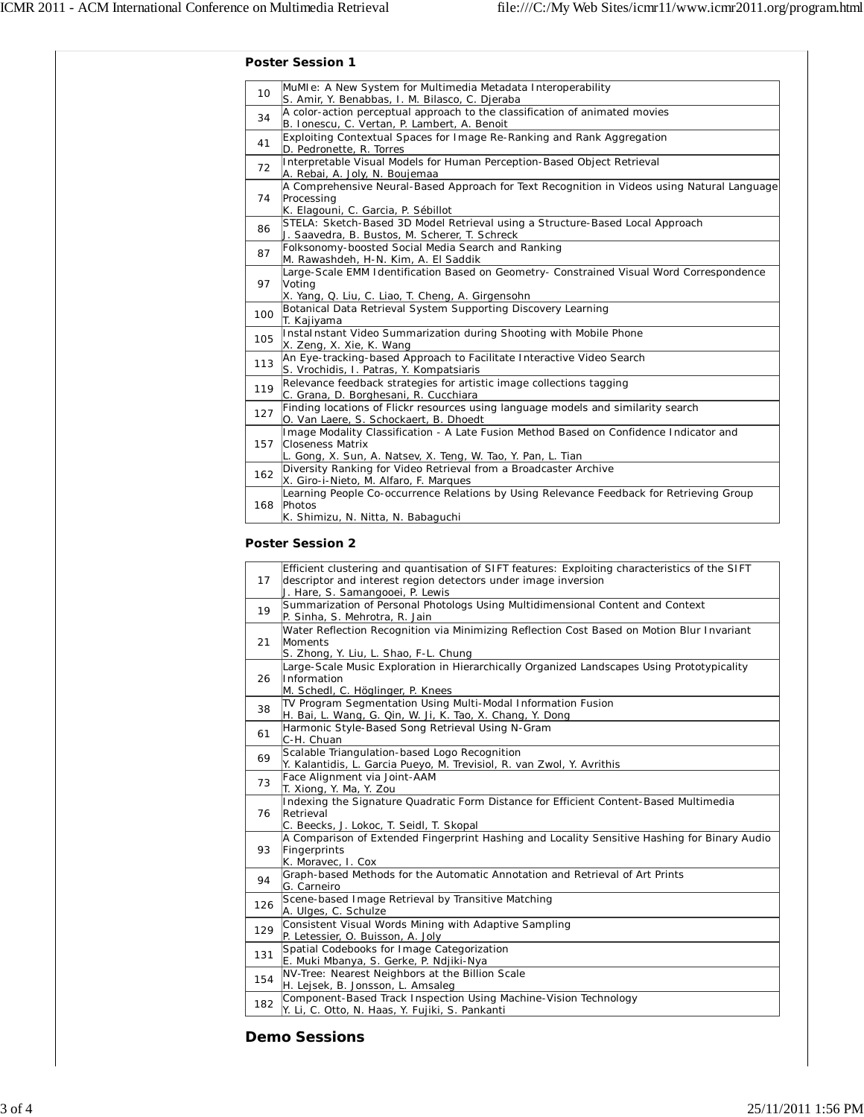|                 | <b>Poster Session 1</b>                                                                                                                                                    |
|-----------------|----------------------------------------------------------------------------------------------------------------------------------------------------------------------------|
| 10 <sup>1</sup> | MuMIe: A New System for Multimedia Metadata Interoperability<br>S. Amir, Y. Benabbas, I. M. Bilasco, C. Djeraba                                                            |
| 34              | A color-action perceptual approach to the classification of animated movies<br>B. Ionescu, C. Vertan, P. Lambert, A. Benoit                                                |
| 41              | Exploiting Contextual Spaces for Image Re-Ranking and Rank Aggregation<br>D. Pedronette, R. Torres                                                                         |
| 72              | Interpretable Visual Models for Human Perception-Based Object Retrieval<br>A. Rebai, A. Joly, N. Boujemaa                                                                  |
| 74              | A Comprehensive Neural-Based Approach for Text Recognition in Videos using Natural Language<br>Processing<br>K. Elagouni, C. Garcia, P. Sébillot                           |
| 86              | STELA: Sketch-Based 3D Model Retrieval using a Structure-Based Local Approach<br>J. Saavedra, B. Bustos, M. Scherer, T. Schreck                                            |
| 87              | Folksonomy-boosted Social Media Search and Ranking<br>M. Rawashdeh, H-N. Kim, A. El Saddik                                                                                 |
| 97              | Large-Scale EMM Identification Based on Geometry- Constrained Visual Word Correspondence<br>Voting<br>X. Yang, Q. Liu, C. Liao, T. Cheng, A. Girgensohn                    |
| 100             | Botanical Data Retrieval System Supporting Discovery Learning<br>T. Kajiyama                                                                                               |
| 105             | Instalnstant Video Summarization during Shooting with Mobile Phone<br>X. Zeng, X. Xie, K. Wang                                                                             |
| 113             | An Eye-tracking-based Approach to Facilitate Interactive Video Search<br>S. Vrochidis, I. Patras, Y. Kompatsiaris                                                          |
| 119             | Relevance feedback strategies for artistic image collections tagging<br>C. Grana, D. Borghesani, R. Cucchiara                                                              |
| 127             | Finding locations of Flickr resources using language models and similarity search<br>O. Van Laere, S. Schockaert, B. Dhoedt                                                |
| 157             | Image Modality Classification - A Late Fusion Method Based on Confidence Indicator and<br>Closeness Matrix<br>L. Gong, X. Sun, A. Natsev, X. Teng, W. Tao, Y. Pan, L. Tian |
| 162             | Diversity Ranking for Video Retrieval from a Broadcaster Archive<br>X. Giro-i-Nieto, M. Alfaro, F. Marques                                                                 |
| 168             | Learning People Co-occurrence Relations by Using Relevance Feedback for Retrieving Group<br>Photos<br>K. Shimizu, N. Nitta, N. Babaquchi                                   |

## **Poster Session 2**

| 17  | Efficient clustering and quantisation of SIFT features: Exploiting characteristics of the SIFT<br>descriptor and interest region detectors under image inversion<br>J. Hare, S. Samangooei, P. Lewis |
|-----|------------------------------------------------------------------------------------------------------------------------------------------------------------------------------------------------------|
| 19  | Summarization of Personal Photologs Using Multidimensional Content and Context<br>P. Sinha, S. Mehrotra, R. Jain                                                                                     |
| 21  | Water Reflection Recognition via Minimizing Reflection Cost Based on Motion Blur Invariant<br>Moments<br>S. Zhong, Y. Liu, L. Shao, F-L. Chung                                                       |
| 26  | Large-Scale Music Exploration in Hierarchically Organized Landscapes Using Prototypicality<br>Information<br>M. Schedl, C. Höglinger, P. Knees                                                       |
| 38  | TV Program Segmentation Using Multi-Modal Information Fusion<br>H. Bai, L. Wang, G. Qin, W. Ji, K. Tao, X. Chang, Y. Dong                                                                            |
| 61  | Harmonic Style-Based Song Retrieval Using N-Gram<br>C-H. Chuan                                                                                                                                       |
| 69  | Scalable Triangulation-based Logo Recognition<br>Y. Kalantidis, L. Garcia Pueyo, M. Trevisiol, R. van Zwol, Y. Avrithis                                                                              |
| 73  | Face Alignment via Joint-AAM<br>T. Xiong, Y. Ma, Y. Zou                                                                                                                                              |
| 76  | Indexing the Signature Quadratic Form Distance for Efficient Content-Based Multimedia<br>Retrieval<br>C. Beecks, J. Lokoc, T. Seidl, T. Skopal                                                       |
| 93  | A Comparison of Extended Fingerprint Hashing and Locality Sensitive Hashing for Binary Audio<br>Fingerprints<br>K. Moravec, I. Cox                                                                   |
| 94  | Graph-based Methods for the Automatic Annotation and Retrieval of Art Prints<br>G. Carneiro                                                                                                          |
| 126 | Scene-based Image Retrieval by Transitive Matching<br>A. Ulges, C. Schulze                                                                                                                           |
| 129 | Consistent Visual Words Mining with Adaptive Sampling<br>P. Letessier, O. Buisson, A. Joly                                                                                                           |
| 131 | Spatial Codebooks for Image Categorization<br>E. Muki Mbanya, S. Gerke, P. Ndjiki-Nya                                                                                                                |
| 154 | NV-Tree: Nearest Neighbors at the Billion Scale<br>H. Lejsek, B. Jonsson, L. Amsaleg                                                                                                                 |
| 182 | Component-Based Track Inspection Using Machine-Vision Technology<br>Y. Li, C. Otto, N. Haas, Y. Fujiki, S. Pankanti                                                                                  |

## **Demo Sessions**